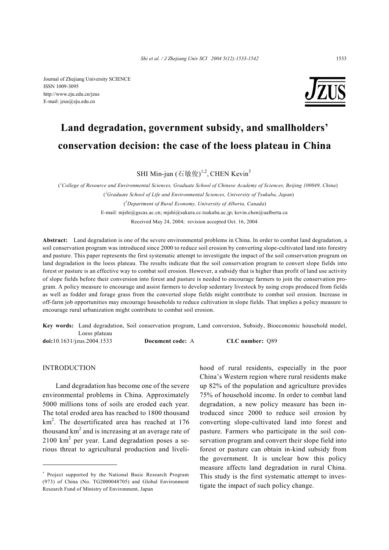Journal of Zhejiang University SCIENCE ISSN 1009-3095 http://www.zju.edu.cn/jzus E-mail: jzus@zju.edu.cn



# **Land degradation, government subsidy, and smallholders' conservation decision: the case of the loess plateau in China**

SHI Min-jun (石敏俊)<sup>1,2</sup>, CHEN Kevin<sup>3</sup>

( *1 College of Resource and Environmental Sciences, Graduate School of Chinese Academy of Sciences, Beijing 100049, China*) (*2 Graduate School of Life and Environmental Sciences, University of Tsukuba, Japan*) (*3 Department of Rural Economy, University of Alberta, Canada*) E-mail: mjshi@gscas.ac.cn; mjshi@sakura.cc.tsukuba.ac.jp; kevin.chen@ualberta.ca Received May 24, 2004; revision accepted Oct. 16, 2004

**Abstract:** Land degradation is one of the severe environmental problems in China. In order to combat land degradation, a soil conservation program was introduced since 2000 to reduce soil erosion by converting slope-cultivated land into forestry and pasture. This paper represents the first systematic attempt to investigate the impact of the soil conservation program on land degradation in the loess plateau. The results indicate that the soil conservation program to convert slope fields into forest or pasture is an effective way to combat soil erosion. However, a subsidy that is higher than profit of land use activity of slope fields before their conversion into forest and pasture is needed to encourage farmers to join the conservation program. A policy measure to encourage and assist farmers to develop sedentary livestock by using crops produced from fields as well as fodder and forage grass from the converted slope fields might contribute to combat soil erosion. Increase in off-farm job opportunities may encourage households to reduce cultivation in slope fields. That implies a policy measure to encourage rural urbanization might contribute to combat soil erosion.

**Key words:** Land degradation, Soil conservation program, Land conversion, Subsidy, Bioeconomic household model, Loess plateau

**doi:**10.1631/jzus.2004.1533 **Document code:** A **CLC number:** Q89

# INTRODUCTION

Land degradation has become one of the severe environmental problems in China. Approximately 5000 millions tons of soils are eroded each year. The total eroded area has reached to 1800 thousand  $km<sup>2</sup>$ . The desertificated area has reached at 176 thousand  $km^2$  and is increasing at an average rate of  $2100 \text{ km}^2$  per year. Land degradation poses a serious threat to agricultural production and livelihood of rural residents, especially in the poor China's Western region where rural residents make up 82% of the population and agriculture provides 75% of household income. In order to combat land degradation, a new policy measure has been introduced since 2000 to reduce soil erosion by converting slope-cultivated land into forest and pasture. Farmers who participate in the soil conservation program and convert their slope field into forest or pasture can obtain in-kind subsidy from the government. It is unclear how this policy measure affects land degradation in rural China. This study is the first systematic attempt to investigate the impact of such policy change.

<sup>\*</sup> Project supported by the National Basic Research Program (973) of China (No. TG2000048705) and Global Environment Research Fund of Ministry of Environment, Japan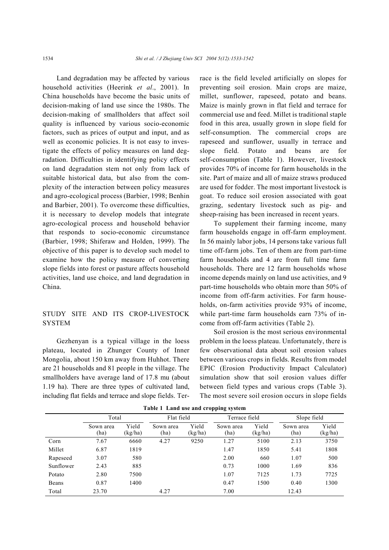Land degradation may be affected by various household activities (Heerink *et al*., 2001). In China households have become the basic units of decision-making of land use since the 1980s. The decision-making of smallholders that affect soil quality is influenced by various socio-economic factors, such as prices of output and input, and as well as economic policies. It is not easy to investigate the effects of policy measures on land degradation. Difficulties in identifying policy effects on land degradation stem not only from lack of suitable historical data, but also from the complexity of the interaction between policy measures and agro-ecological process (Barbier, 1998; Benhin and Barbier, 2001). To overcome these difficulties, it is necessary to develop models that integrate agro-ecological process and household behavior that responds to socio-economic circumstance (Barbier, 1998; Shiferaw and Holden, 1999). The objective of this paper is to develop such model to examine how the policy measure of converting slope fields into forest or pasture affects household activities, land use choice, and land degradation in China.

# STUDY SITE AND ITS CROP-LIVESTOCK **SYSTEM**

Gezhenyan is a typical village in the loess plateau, located in Zhunger County of Inner Mongolia, about 150 km away from Huhhot. There are 21 households and 81 people in the village. The smallholders have average land of 17.8 mu (about 1.19 ha). There are three types of cultivated land, including flat fields and terrace and slope fields. Terrace is the field leveled artificially on slopes for preventing soil erosion. Main crops are maize, millet, sunflower, rapeseed, potato and beans. Maize is mainly grown in flat field and terrace for commercial use and feed. Millet is traditional staple food in this area, usually grown in slope field for self-consumption. The commercial crops are rapeseed and sunflower, usually in terrace and slope field. Potato and beans are for self-consumption (Table 1). However, livestock provides 70% of income for farm households in the site. Part of maize and all of maize straws produced are used for fodder. The most important livestock is goat. To reduce soil erosion associated with goat grazing, sedentary livestock such as pig- and sheep-raising has been increased in recent years.

To supplement their farming income, many farm households engage in off-farm employment. In 56 mainly labor jobs, 14 persons take various full time off-farm jobs. Ten of them are from part-time farm households and 4 are from full time farm households. There are 12 farm households whose income depends mainly on land use activities, and 9 part-time households who obtain more than 50% of income from off-farm activities. For farm households, on-farm activities provide 93% of income, while part-time farm households earn 73% of income from off-farm activities (Table 2).

Soil erosion is the most serious environmental problem in the loess plateau. Unfortunately, there is few observational data about soil erosion values between various crops in fields. Results from model EPIC (Erosion Productivity Impact Calculator) simulation show that soil erosion values differ between field types and various crops (Table 3). The most severe soil erosion occurs in slope fields

|           | Total             |                  | Flat field        |                  | Terrace field     |                  | Slope field       |                  |
|-----------|-------------------|------------------|-------------------|------------------|-------------------|------------------|-------------------|------------------|
|           | Sown area<br>(ha) | Yield<br>(kg/ha) | Sown area<br>(ha) | Yield<br>(kg/ha) | Sown area<br>(ha) | Yield<br>(kg/ha) | Sown area<br>(ha) | Yield<br>(kg/ha) |
| Corn      | 7.67              | 6660             | 4.27              | 9250             | 1.27              | 5100             | 2.13              | 3750             |
| Millet    | 6.87              | 1819             |                   |                  | 1.47              | 1850             | 5.41              | 1808             |
| Rapeseed  | 3.07              | 580              |                   |                  | 2.00              | 660              | 1.07              | 500              |
| Sunflower | 2.43              | 885              |                   |                  | 0.73              | 1000             | 1.69              | 836              |
| Potato    | 2.80              | 7500             |                   |                  | 1.07              | 7125             | 1.73              | 7725             |
| Beans     | 0.87              | 1400             |                   |                  | 0.47              | 1500             | 0.40              | 1300             |
| Total     | 23.70             |                  | 4.27              |                  | 7.00              |                  | 12.43             |                  |

**Table 1 Land use and cropping system**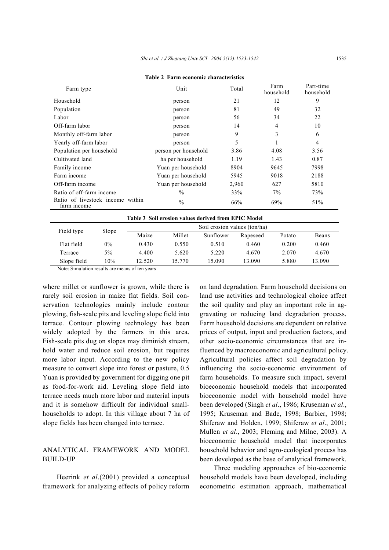| Farm type                                       | Unit                                                | Total | Farm<br>household | Part-time<br>household |
|-------------------------------------------------|-----------------------------------------------------|-------|-------------------|------------------------|
| Household                                       | person                                              | 21    | 12                | 9                      |
| Population                                      | person                                              | 81    | 49                | 32                     |
| Labor                                           | person                                              | 56    | 34                | 22                     |
| Off-farm labor                                  | person                                              | 14    | 4                 | 10                     |
| Monthly off-farm labor                          | person                                              | 9     | 3                 | 6                      |
| Yearly off-farm labor                           | person                                              | 5     |                   | 4                      |
| Population per household                        | person per household                                | 3.86  | 4.08              | 3.56                   |
| Cultivated land                                 | ha per household                                    | 1.19  | 1.43              | 0.87                   |
| Family income                                   | Yuan per household                                  | 8904  | 9645              | 7998                   |
| Farm income                                     | Yuan per household                                  | 5945  | 9018              | 2188                   |
| Off-farm income                                 | Yuan per household                                  | 2,960 | 627               | 5810                   |
| Ratio of off-farm income                        | $\frac{0}{0}$                                       | 33%   | 7%                | 73%                    |
| Ratio of livestock income within<br>farm income | $\frac{0}{0}$                                       | 66%   | 69%               | 51%                    |
|                                                 | Table 3 Soil erosion values derived from EPIC Model |       |                   |                        |

**Table 2 Farm economic characteristics** 

| Table 3 Soil erosion values derived from EPIC Model |       |                              |        |           |          |        |        |
|-----------------------------------------------------|-------|------------------------------|--------|-----------|----------|--------|--------|
| Field type                                          | Slope | Soil erosion values (ton/ha) |        |           |          |        |        |
|                                                     |       | Maize                        | Millet | Sunflower | Rapeseed | Potato | Beans  |
| Flat field                                          | 0%    | 0.430                        | 0.550  | 0.510     | 0.460    | 0.200  | 0.460  |
| Terrace                                             | $5\%$ | 4.400                        | 5.620  | 5.220     | 4.670    | 2.070  | 4.670  |
| Slope field                                         | 10%   | 12.520                       | 15.770 | 15.090    | 13.090   | 5.880  | 13.090 |

Note: Simulation results are means of ten years

where millet or sunflower is grown, while there is rarely soil erosion in maize flat fields. Soil conservation technologies mainly include contour plowing, fish-scale pits and leveling slope field into terrace. Contour plowing technology has been widely adopted by the farmers in this area. Fish-scale pits dug on slopes may diminish stream, hold water and reduce soil erosion, but requires more labor input. According to the new policy measure to convert slope into forest or pasture, 0.5 Yuan is provided by government for digging one pit as food-for-work aid. Leveling slope field into terrace needs much more labor and material inputs and it is somehow difficult for individual smallhouseholds to adopt. In this village about 7 ha of slope fields has been changed into terrace.

# ANALYTICAL FRAMEWORK AND MODEL BUILD-UP

Heerink *et al*.(2001) provided a conceptual framework for analyzing effects of policy reform on land degradation. Farm household decisions on land use activities and technological choice affect the soil quality and play an important role in aggravating or reducing land degradation process. Farm household decisions are dependent on relative prices of output, input and production factors, and other socio-economic circumstances that are influenced by macroeconomic and agricultural policy. Agricultural policies affect soil degradation by influencing the socio-economic environment of farm households. To measure such impact, several bioeconomic household models that incorporated bioeconomic model with household model have been developed (Singh *et al*., 1986; Kruseman *et al*., 1995; Kruseman and Bade, 1998; Barbier, 1998; Shiferaw and Holden, 1999; Shiferaw *et al*., 2001; Mullen *et al*., 2003; Fleming and Milne, 2003). A bioeconomic household model that incorporates household behavior and agro-ecological process has been developed as the base of analytical framework.

Three modeling approaches of bio-economic household models have been developed, including econometric estimation approach, mathematical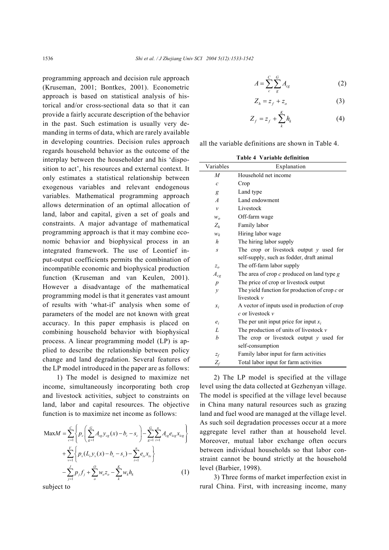programming approach and decision rule approach (Kruseman, 2001; Bontkes, 2001). Econometric approach is based on statistical analysis of historical and/or cross-sectional data so that it can provide a fairly accurate description of the behavior in the past. Such estimation is usually very demanding in terms of data, which are rarely available in developing countries. Decision rules approach regards household behavior as the outcome of the interplay between the householder and his 'disposition to act', his resources and external context. It only estimates a statistical relationship between exogenous variables and relevant endogenous variables. Mathematical programming approach allows determination of an optimal allocation of land, labor and capital, given a set of goals and constraints. A major advantage of mathematical programming approach is that it may combine economic behavior and biophysical process in an integrated framework. The use of Leontief input-output coefficients permits the combination of incompatible economic and biophysical production function (Kruseman and van Keulen, 2001). However a disadvantage of the mathematical programming model is that it generates vast amount of results with 'what-if' analysis when some of parameters of the model are not known with great accuracy. In this paper emphasis is placed on combining household behavior with biophysical process. A linear programming model (LP) is applied to describe the relationship between policy change and land degradation. Several features of the LP model introduced in the paper are as follows:

1) The model is designed to maximize net income, simultaneously incorporating both crop and livestock activities, subject to constraints on land, labor and capital resources. The objective function is to maximize net income as follows:

$$
\begin{split} \text{Max}M &= \sum_{c=1}^{C} \left\{ p_c \left( \sum_{g=1}^{G} A_{cg} y_{cg}(x) - b_c - s_c \right) - \sum_{g=1}^{G} \sum_{i=1}^{n} A_{cg} e_{icg} x_{icg} \right\} \\ &+ \sum_{v=1}^{V} \left\{ p_v (L_v y_v(x) - b_v - s_v) - \sum_{i=1}^{n} e_{iv} x_{iv} \right\} \\ &- \sum_{j=1}^{J} p_j f_j + \sum_{o}^{O} w_o z_o - \sum_{k}^{K} w_k h_k \end{split} \tag{1}
$$

subject to

$$
A = \sum_{c}^{C} \sum_{g}^{G} A_{cg} \tag{2}
$$

$$
Z_h = z_f + z_o \tag{3}
$$

$$
Z_f = z_f + \sum_{k}^{K} h_k \tag{4}
$$

all the variable definitions are shown in Table 4.

**Table 4 Variable definition** 

| Variables         | Explanation                                    |
|-------------------|------------------------------------------------|
| $\overline{M}$    | Household net income                           |
| $\mathcal{C}_{0}$ | Crop                                           |
| g                 | Land type                                      |
| $\overline{A}$    | Land endowment                                 |
| $\mathcal{V}$     | Livestock                                      |
| $W_0$             | Off-farm wage                                  |
| $Z_h$             | Family labor                                   |
| $W_k$             | Hiring labor wage                              |
| h                 | The hiring labor supply                        |
| S                 | The crop or livestock output $y$ used for      |
|                   | self-supply, such as fodder, draft animal      |
| $z_o$             | The off-farm labor supply                      |
| $A_{cg}$          | The area of crop $c$ produced on land type $g$ |
| $\boldsymbol{p}$  | The price of crop or livestock output          |
| $\mathcal{V}$     | The yield function for production of crop c or |
|                   | livestock v                                    |
| $x_i$             | A vector of inputs used in production of crop  |
|                   | c or livestock v                               |
| $e_i$             | The per unit input price for input $x_i$       |
| L                 | The production of units of livestock $\nu$     |
| h                 | The crop or livestock output $\nu$ used for    |
|                   | self-consumption                               |
| $\mathcal{Z}_f$   | Family labor input for farm activities         |
| $Z_f\,$           | Total labor input for farm activities          |

2) The LP model is specified at the village level using the data collected at Gezhenyan village. The model is specified at the village level because in China many natural resources such as grazing land and fuel wood are managed at the village level. As such soil degradation processes occur at a more aggregate level rather than at household level. Moreover, mutual labor exchange often occurs between individual households so that labor constraint cannot be bound strictly at the household level (Barbier, 1998).

3) Three forms of market imperfection exist in rural China. First, with increasing income, many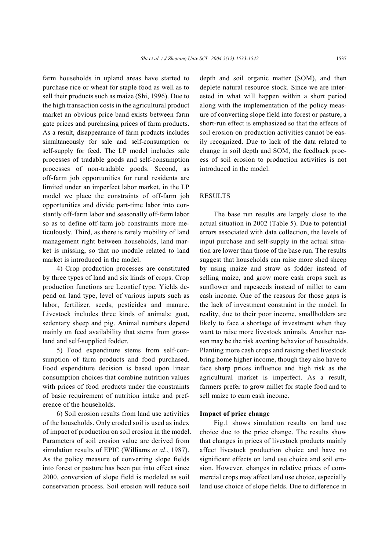farm households in upland areas have started to purchase rice or wheat for staple food as well as to sell their products such as maize (Shi, 1996). Due to the high transaction costs in the agricultural product market an obvious price band exists between farm gate prices and purchasing prices of farm products. As a result, disappearance of farm products includes simultaneously for sale and self-consumption or self-supply for feed. The LP model includes sale processes of tradable goods and self-consumption processes of non-tradable goods. Second, as off-farm job opportunities for rural residents are limited under an imperfect labor market, in the LP model we place the constraints of off-farm job opportunities and divide part-time labor into constantly off-farm labor and seasonally off-farm labor so as to define off-farm job constraints more meticulously. Third, as there is rarely mobility of land management right between households, land market is missing, so that no module related to land market is introduced in the model.

4) Crop production processes are constituted by three types of land and six kinds of crops. Crop production functions are Leontief type. Yields depend on land type, level of various inputs such as labor, fertilizer, seeds, pesticides and manure. Livestock includes three kinds of animals: goat, sedentary sheep and pig. Animal numbers depend mainly on feed availability that stems from grassland and self-supplied fodder.

5) Food expenditure stems from self-consumption of farm products and food purchased. Food expenditure decision is based upon linear consumption choices that combine nutrition values with prices of food products under the constraints of basic requirement of nutrition intake and preference of the households.

6) Soil erosion results from land use activities of the households. Only eroded soil is used as index of impact of production on soil erosion in the model. Parameters of soil erosion value are derived from simulation results of EPIC (Williams *et al*., 1987). As the policy measure of converting slope fields into forest or pasture has been put into effect since 2000, conversion of slope field is modeled as soil conservation process. Soil erosion will reduce soil

depth and soil organic matter (SOM), and then deplete natural resource stock. Since we are interested in what will happen within a short period along with the implementation of the policy measure of converting slope field into forest or pasture, a short-run effect is emphasized so that the effects of soil erosion on production activities cannot be easily recognized. Due to lack of the data related to change in soil depth and SOM, the feedback process of soil erosion to production activities is not introduced in the model.

# RESULTS

The base run results are largely close to the actual situation in 2002 (Table 5). Due to potential errors associated with data collection, the levels of input purchase and self-supply in the actual situation are lower than those of the base run. The results suggest that households can raise more shed sheep by using maize and straw as fodder instead of selling maize, and grow more cash crops such as sunflower and rapeseeds instead of millet to earn cash income. One of the reasons for those gaps is the lack of investment constraint in the model. In reality, due to their poor income, smallholders are likely to face a shortage of investment when they want to raise more livestock animals. Another reason may be the risk averting behavior of households. Planting more cash crops and raising shed livestock bring home higher income, though they also have to face sharp prices influence and high risk as the agricultural market is imperfect. As a result, farmers prefer to grow millet for staple food and to sell maize to earn cash income.

#### **Impact of price change**

Fig.1 shows simulation results on land use choice due to the price change. The results show that changes in prices of livestock products mainly affect livestock production choice and have no significant effects on land use choice and soil erosion. However, changes in relative prices of commercial crops may affect land use choice, especially land use choice of slope fields. Due to difference in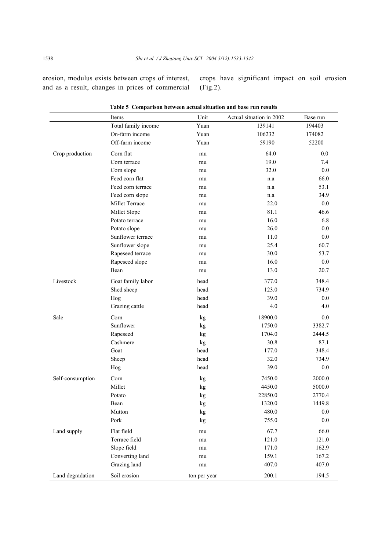erosion, modulus exists between crops of interest, and as a result, changes in prices of commercial

crops have significant impact on soil erosion (Fig.2).

|                  | Items               | Unit         | Actual situation in 2002 | Base run |
|------------------|---------------------|--------------|--------------------------|----------|
|                  | Total family income | Yuan         | 139141                   | 194403   |
|                  | On-farm income      | Yuan         | 106232                   | 174082   |
|                  | Off-farm income     | Yuan         | 59190                    | 52200    |
| Crop production  | Corn flat           | mu           | 64.0                     | 0.0      |
|                  | Corn terrace        | mu           | 19.0                     | 7.4      |
|                  | Corn slope          | mu           | 32.0                     | 0.0      |
|                  | Feed corn flat      | mu           | n.a                      | 66.0     |
|                  | Feed corn terrace   | mu           | n.a                      | 53.1     |
|                  | Feed corn slope     | mu           | n.a                      | 34.9     |
|                  | Millet Terrace      | mu           | 22.0                     | $0.0\,$  |
|                  | Millet Slope        | mu           | 81.1                     | 46.6     |
|                  | Potato terrace      | mu           | 16.0                     | 6.8      |
|                  | Potato slope        | mu           | 26.0                     | 0.0      |
|                  | Sunflower terrace   | mu           | 11.0                     | $0.0\,$  |
|                  | Sunflower slope     | mu           | 25.4                     | 60.7     |
|                  | Rapeseed terrace    | mu           | 30.0                     | 53.7     |
|                  | Rapeseed slope      | mu           | 16.0                     | $0.0\,$  |
|                  | Bean                | mu           | 13.0                     | 20.7     |
| Livestock        | Goat family labor   | head         | 377.0                    | 348.4    |
|                  | Shed sheep          | head         | 123.0                    | 734.9    |
|                  | Hog                 | head         | 39.0                     | 0.0      |
|                  | Grazing cattle      | head         | 4.0                      | 4.0      |
| Sale             | Corn                | kg           | 18900.0                  | 0.0      |
|                  | Sunflower           | kg           | 1750.0                   | 3382.7   |
|                  | Rapeseed            | kg           | 1704.0                   | 2444.5   |
|                  | Cashmere            | kg           | 30.8                     | 87.1     |
|                  | Goat                | head         | 177.0                    | 348.4    |
|                  | Sheep               | head         | 32.0                     | 734.9    |
|                  | Hog                 | head         | 39.0                     | $0.0\,$  |
| Self-consumption | Corn                | kg           | 7450.0                   | 2000.0   |
|                  | Millet              | kg           | 4450.0                   | 5000.0   |
|                  | Potato              | kg           | 22850.0                  | 2770.4   |
|                  | Bean                | kg           | 1320.0                   | 1449.8   |
|                  | Mutton              | kg           | 480.0                    | 0.0      |
|                  | Pork                | kg           | 755.0                    | 0.0      |
| Land supply      | Flat field          | mu           | 67.7                     | 66.0     |
|                  | Terrace field       | mu           | 121.0                    | 121.0    |
|                  | Slope field         | mu           | 171.0                    | 162.9    |
|                  | Converting land     | mu           | 159.1                    | 167.2    |
|                  | Grazing land        | mu           | 407.0                    | 407.0    |
| Land degradation | Soil erosion        | ton per year | 200.1                    | 194.5    |

**Table 5 Comparison between actual situation and base run results**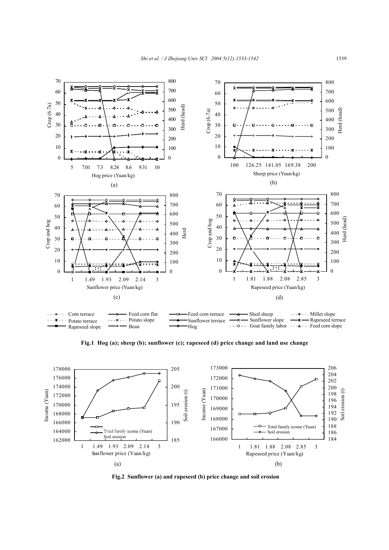

**Fig.1 Hog (a); sheep (b); sunflower (c); rapeseed (d) price change and land use change** 



**Fig.2 Sunflower (a) and rapeseed (b) price change and soil erosion**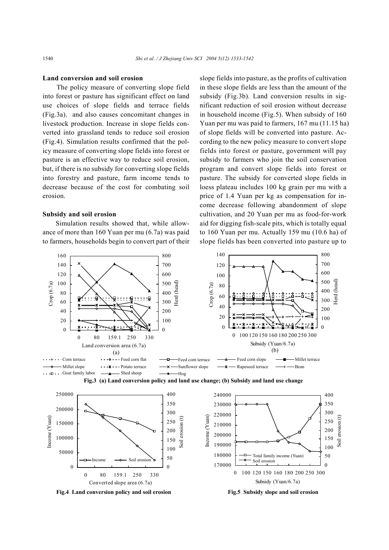#### **Land conversion and soil erosion**

The policy measure of converting slope field into forest or pasture has significant effect on land use choices of slope fields and terrace fields (Fig.3a). and also causes concomitant changes in livestock production. Increase in slope fields converted into grassland tends to reduce soil erosion (Fig.4). Simulation results confirmed that the policy measure of converting slope fields into forest or pasture is an effective way to reduce soil erosion, but, if there is no subsidy for converting slope fields into forestry and pasture, farm income tends to decrease because of the cost for combating soil erosion.

#### **Subsidy and soil erosion**

Simulation results showed that, while allowance of more than 160 Yuan per mu (6.7a) was paid to farmers, households begin to convert part of their slope fields into pasture, as the profits of cultivation in these slope fields are less than the amount of the subsidy (Fig.3b). Land conversion results in significant reduction of soil erosion without decrease in household income (Fig.5). When subsidy of 160 Yuan per mu was paid to farmers, 167 mu (11.15 ha) of slope fields will be converted into pasture. According to the new policy measure to convert slope fields into forest or pasture, government will pay subsidy to farmers who join the soil conservation program and convert slope fields into forest or pasture. The subsidy for converted slope fields in loess plateau includes 100 kg grain per mu with a price of 1.4 Yuan per kg as compensation for income decrease following abandonment of slope cultivation, and 20 Yuan per mu as food-for-work aid for digging fish-scale pits, which is totally equal to 160 Yuan per mu. Actually 159 mu (10.6 ha) of slope fields has been converted into pasture up to





0 80 159.1 250 330 Converted slope area (6.7a)



0 100 120 150 160 180 200 250 300 Subsidy (Yuan/6.7a)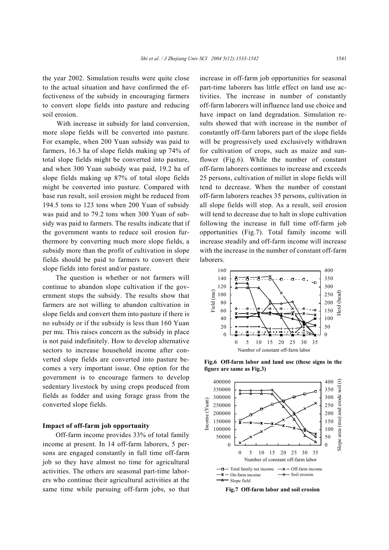the year 2002. Simulation results were quite close to the actual situation and have confirmed the effectiveness of the subsidy in encouraging farmers to convert slope fields into pasture and reducing soil erosion.

With increase in subsidy for land conversion, more slope fields will be converted into pasture. For example, when 200 Yuan subsidy was paid to farmers, 16.3 ha of slope fields making up 74% of total slope fields might be converted into pasture, and when 300 Yuan subsidy was paid, 19.2 ha of slope fields making up 87% of total slope fields might be converted into pasture. Compared with base run result, soil erosion might be reduced from 194.5 tons to 123 tons when 200 Yuan of subsidy was paid and to 79.2 tons when 300 Yuan of subsidy was paid to farmers. The results indicate that if the government wants to reduce soil erosion furthermore by converting much more slope fields, a subsidy more than the profit of cultivation in slope fields should be paid to farmers to convert their slope fields into forest and/or pasture.

The question is whether or not farmers will continue to abandon slope cultivation if the government stops the subsidy. The results show that farmers are not willing to abandon cultivation in slope fields and convert them into pasture if there is no subsidy or if the subsidy is less than 160 Yuan per mu. This raises concern as the subsidy in place is not paid indefinitely. How to develop alternative sectors to increase household income after converted slope fields are converted into pasture becomes a very important issue. One option for the government is to encourage farmers to develop sedentary livestock by using crops produced from fields as fodder and using forage grass from the converted slope fields.

## **Impact of off-farm job opportunity**

Off-farm income provides 33% of total family income at present. In 14 off-farm laborers, 5 persons are engaged constantly in full time off-farm job so they have almost no time for agricultural activities. The others are seasonal part-time laborers who continue their agricultural activities at the same time while pursuing off-farm jobs, so that

increase in off-farm job opportunities for seasonal part-time laborers has little effect on land use activities. The increase in number of constantly off-farm laborers will influence land use choice and have impact on land degradation. Simulation results showed that with increase in the number of constantly off-farm laborers part of the slope fields will be progressively used exclusively withdrawn for cultivation of crops, such as maize and sunflower (Fig.6). While the number of constant off-farm laborers continues to increase and exceeds 25 persons, cultivation of millet in slope fields will tend to decrease. When the number of constant off-farm laborers reaches 35 persons, cultivation in all slope fields will stop. As a result, soil erosion will tend to decrease due to halt in slope cultivation following the increase in full time off-farm job opportunities (Fig.7). Total family income will increase steadily and off-farm income will increase with the increase in the number of constant off-farm laborers.



**Fig.6 Off-farm labor and land use (these signs in the figure are same as Fig.3)** 



**Fig.7 Off-farm labor and soil erosion**